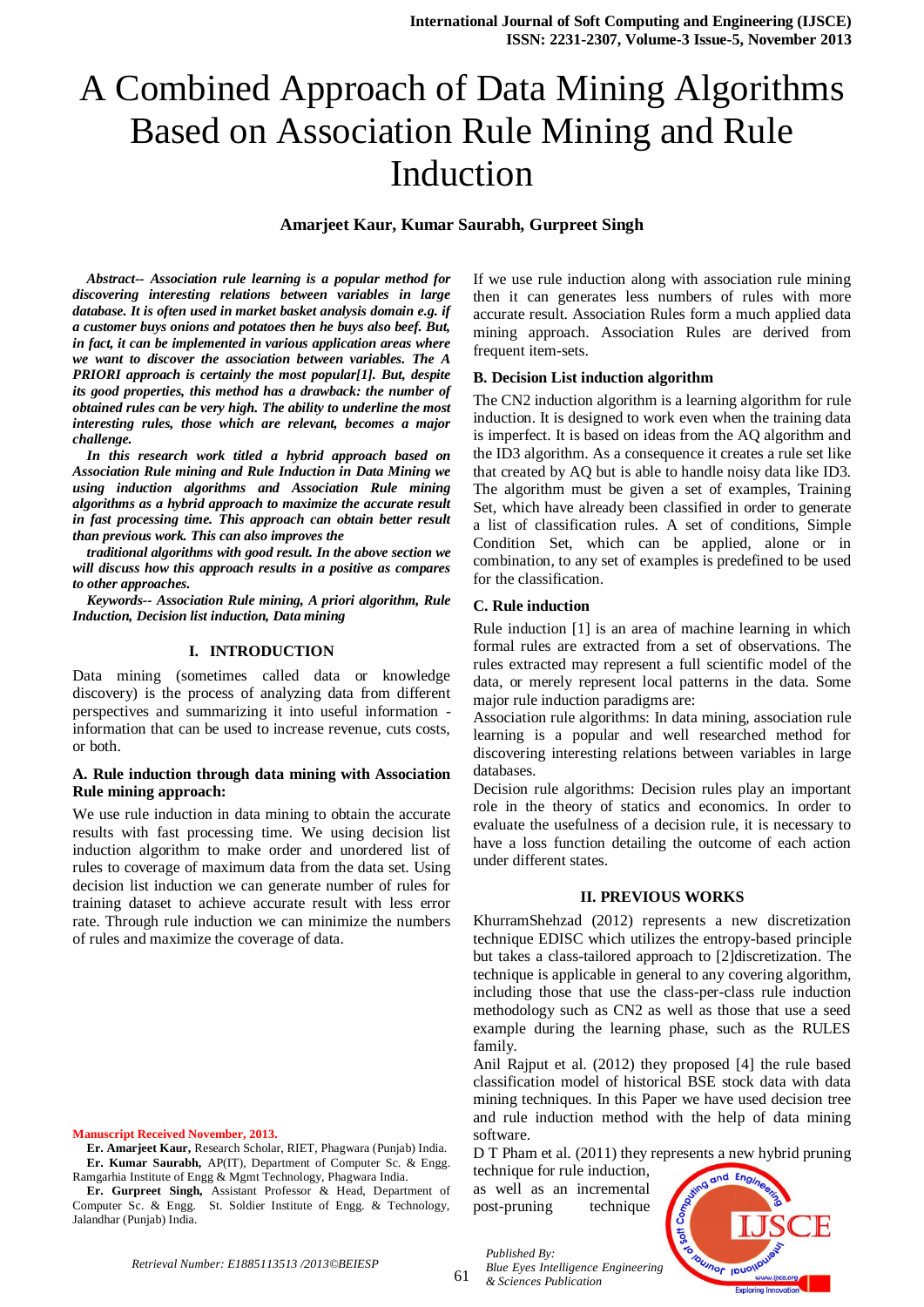# A Combined Approach of Data Mining Algorithms Based on Association Rule Mining and Rule Induction

# **Amarjeet Kaur, Kumar Saurabh, Gurpreet Singh**

*Abstract-- Association rule learning is a popular method for discovering interesting relations between variables in large database. It is often used in market basket analysis domain e.g. if a customer buys onions and potatoes then he buys also beef. But, in fact, it can be implemented in various application areas where we want to discover the association between variables. The A PRIORI approach is certainly the most popular[1]. But, despite its good properties, this method has a drawback: the number of obtained rules can be very high. The ability to underline the most interesting rules, those which are relevant, becomes a major challenge.* 

*In this research work titled a hybrid approach based on Association Rule mining and Rule Induction in Data Mining we using induction algorithms and Association Rule mining algorithms as a hybrid approach to maximize the accurate result in fast processing time. This approach can obtain better result than previous work. This can also improves the* 

*traditional algorithms with good result. In the above section we will discuss how this approach results in a positive as compares to other approaches.* 

*Keywords-- Association Rule mining, A priori algorithm, Rule Induction, Decision list induction, Data mining* 

# **I. INTRODUCTION**

Data mining (sometimes called data or knowledge discovery) is the process of analyzing data from different perspectives and summarizing it into useful information information that can be used to increase revenue, cuts costs, or both.

# **A. Rule induction through data mining with Association Rule mining approach:**

We use rule induction in data mining to obtain the accurate results with fast processing time. We using decision list induction algorithm to make order and unordered list of rules to coverage of maximum data from the data set. Using decision list induction we can generate number of rules for training dataset to achieve accurate result with less error rate. Through rule induction we can minimize the numbers of rules and maximize the coverage of data.

#### **Manuscript Received November, 2013.**

**Er. Amarjeet Kaur,** Research Scholar, RIET, Phagwara (Punjab) India. **Er. Kumar Saurabh,** AP(IT), Department of Computer Sc. & Engg. Ramgarhia Institute of Engg & Mgmt Technology, Phagwara India.

**Er. Gurpreet Singh,** Assistant Professor & Head, Department of Computer Sc. & Engg. St. Soldier Institute of Engg. & Technology, Jalandhar (Punjab) India.

If we use rule induction along with association rule mining then it can generates less numbers of rules with more accurate result. Association Rules form a much applied data mining approach. Association Rules are derived from frequent item-sets.

#### **B. Decision List induction algorithm**

The CN2 induction algorithm is a learning algorithm for rule induction. It is designed to work even when the training data is imperfect. It is based on ideas from the AQ algorithm and the ID3 algorithm. As a consequence it creates a rule set like that created by AQ but is able to handle noisy data like ID3. The algorithm must be given a set of examples, Training Set, which have already been classified in order to generate a list of classification rules. A set of conditions, Simple Condition Set, which can be applied, alone or in combination, to any set of examples is predefined to be used for the classification.

# **C. Rule induction**

Rule induction [1] is an area of machine learning in which formal rules are extracted from a set of observations. The rules extracted may represent a full scientific model of the data, or merely represent local patterns in the data. Some major rule induction paradigms are:

Association rule algorithms: In data mining, association rule learning is a popular and well researched method for discovering interesting relations between variables in large databases.

Decision rule algorithms: Decision rules play an important role in the theory of statics and economics. In order to evaluate the usefulness of a decision rule, it is necessary to have a loss function detailing the outcome of each action under different states.

# **II. PREVIOUS WORKS**

KhurramShehzad (2012) represents a new discretization technique EDISC which utilizes the entropy-based principle but takes a class-tailored approach to [2]discretization. The technique is applicable in general to any covering algorithm, including those that use the class-per-class rule induction methodology such as CN2 as well as those that use a seed example during the learning phase, such as the RULES family.

Anil Rajput et al. (2012) they proposed [4] the rule based classification model of historical BSE stock data with data mining techniques. In this Paper we have used decision tree and rule induction method with the help of data mining software.

D T Pham et al. (2011) they represents a new hybrid pruning

technique for rule induction, as well as an incremental post-pruning technique

*Published By:*

*& Sciences Publication*